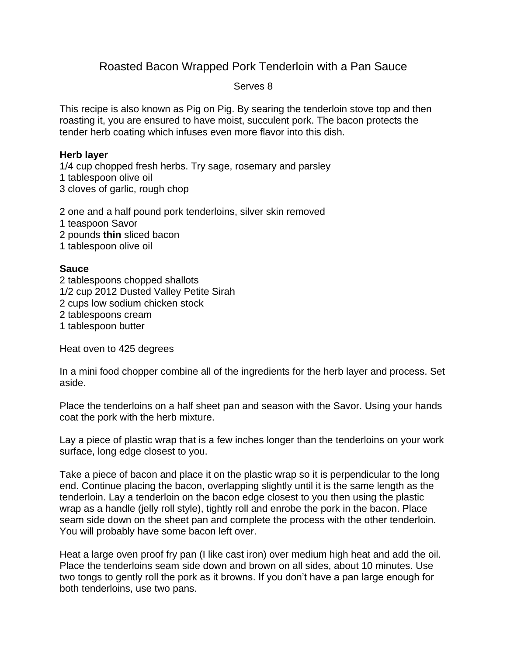## Roasted Bacon Wrapped Pork Tenderloin with a Pan Sauce

## Serves 8

This recipe is also known as Pig on Pig. By searing the tenderloin stove top and then roasting it, you are ensured to have moist, succulent pork. The bacon protects the tender herb coating which infuses even more flavor into this dish.

## **Herb layer**

1/4 cup chopped fresh herbs. Try sage, rosemary and parsley 1 tablespoon olive oil 3 cloves of garlic, rough chop

2 one and a half pound pork tenderloins, silver skin removed 1 teaspoon Savor 2 pounds **thin** sliced bacon

1 tablespoon olive oil

## **Sauce**

2 tablespoons chopped shallots 1/2 cup 2012 Dusted Valley Petite Sirah 2 cups low sodium chicken stock 2 tablespoons cream 1 tablespoon butter

Heat oven to 425 degrees

In a mini food chopper combine all of the ingredients for the herb layer and process. Set aside.

Place the tenderloins on a half sheet pan and season with the Savor. Using your hands coat the pork with the herb mixture.

Lay a piece of plastic wrap that is a few inches longer than the tenderloins on your work surface, long edge closest to you.

Take a piece of bacon and place it on the plastic wrap so it is perpendicular to the long end. Continue placing the bacon, overlapping slightly until it is the same length as the tenderloin. Lay a tenderloin on the bacon edge closest to you then using the plastic wrap as a handle (jelly roll style), tightly roll and enrobe the pork in the bacon. Place seam side down on the sheet pan and complete the process with the other tenderloin. You will probably have some bacon left over.

Heat a large oven proof fry pan (I like cast iron) over medium high heat and add the oil. Place the tenderloins seam side down and brown on all sides, about 10 minutes. Use two tongs to gently roll the pork as it browns. If you don't have a pan large enough for both tenderloins, use two pans.